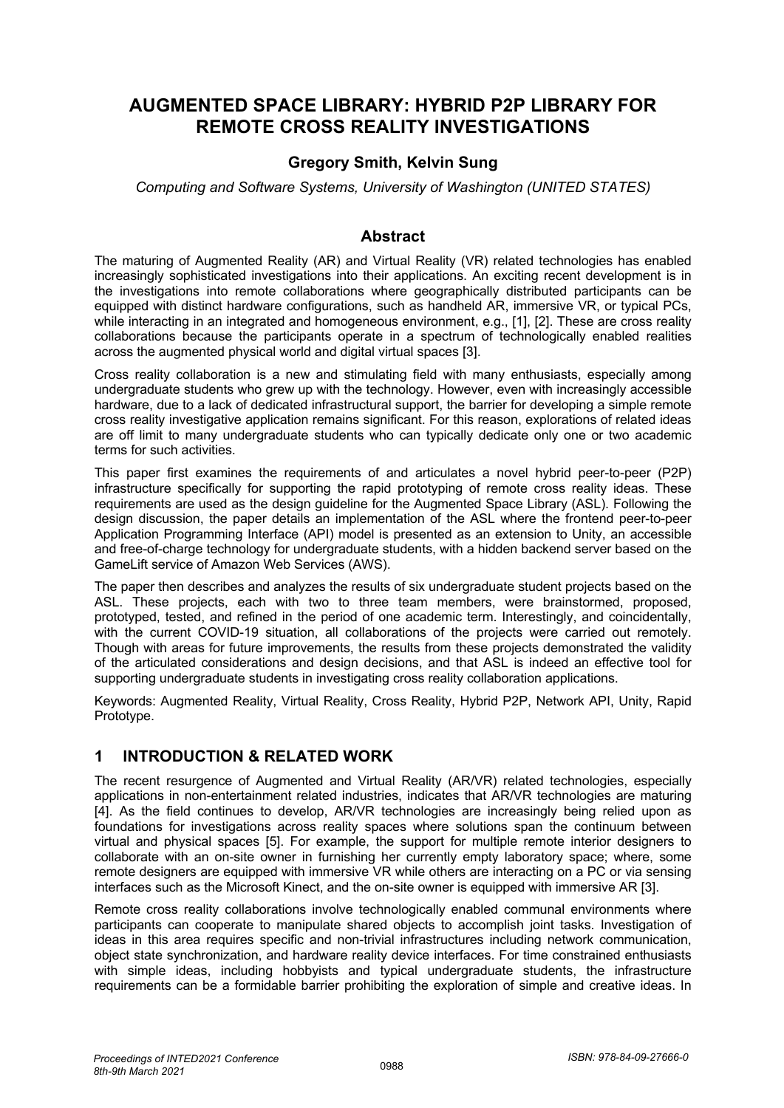# **AUGMENTED SPACE LIBRARY: HYBRID P2P LIBRARY FOR REMOTE CROSS REALITY INVESTIGATIONS**

### **Gregory Smith, Kelvin Sung**

*Computing and Software Systems, University of Washington (UNITED STATES)*

#### **Abstract**

The maturing of Augmented Reality (AR) and Virtual Reality (VR) related technologies has enabled increasingly sophisticated investigations into their applications. An exciting recent development is in the investigations into remote collaborations where geographically distributed participants can be equipped with distinct hardware configurations, such as handheld AR, immersive VR, or typical PCs, while interacting in an integrated and homogeneous environment, e.g., [1], [2]. These are cross reality collaborations because the participants operate in a spectrum of technologically enabled realities across the augmented physical world and digital virtual spaces [3].

Cross reality collaboration is a new and stimulating field with many enthusiasts, especially among undergraduate students who grew up with the technology. However, even with increasingly accessible hardware, due to a lack of dedicated infrastructural support, the barrier for developing a simple remote cross reality investigative application remains significant. For this reason, explorations of related ideas are off limit to many undergraduate students who can typically dedicate only one or two academic terms for such activities.

This paper first examines the requirements of and articulates a novel hybrid peer-to-peer (P2P) infrastructure specifically for supporting the rapid prototyping of remote cross reality ideas. These requirements are used as the design guideline for the Augmented Space Library (ASL). Following the design discussion, the paper details an implementation of the ASL where the frontend peer-to-peer Application Programming Interface (API) model is presented as an extension to Unity, an accessible and free-of-charge technology for undergraduate students, with a hidden backend server based on the GameLift service of Amazon Web Services (AWS).

The paper then describes and analyzes the results of six undergraduate student projects based on the ASL. These projects, each with two to three team members, were brainstormed, proposed, prototyped, tested, and refined in the period of one academic term. Interestingly, and coincidentally, with the current COVID-19 situation, all collaborations of the projects were carried out remotely. Though with areas for future improvements, the results from these projects demonstrated the validity of the articulated considerations and design decisions, and that ASL is indeed an effective tool for supporting undergraduate students in investigating cross reality collaboration applications.

Keywords: Augmented Reality, Virtual Reality, Cross Reality, Hybrid P2P, Network API, Unity, Rapid Prototype.

## **1 INTRODUCTION & RELATED WORK**

The recent resurgence of Augmented and Virtual Reality (AR/VR) related technologies, especially applications in non-entertainment related industries, indicates that AR/VR technologies are maturing [4]. As the field continues to develop, AR/VR technologies are increasingly being relied upon as foundations for investigations across reality spaces where solutions span the continuum between virtual and physical spaces [5]. For example, the support for multiple remote interior designers to collaborate with an on-site owner in furnishing her currently empty laboratory space; where, some remote designers are equipped with immersive VR while others are interacting on a PC or via sensing interfaces such as the Microsoft Kinect, and the on-site owner is equipped with immersive AR [3].

Remote cross reality collaborations involve technologically enabled communal environments where participants can cooperate to manipulate shared objects to accomplish joint tasks. Investigation of ideas in this area requires specific and non-trivial infrastructures including network communication, object state synchronization, and hardware reality device interfaces. For time constrained enthusiasts with simple ideas, including hobbyists and typical undergraduate students, the infrastructure requirements can be a formidable barrier prohibiting the exploration of simple and creative ideas. In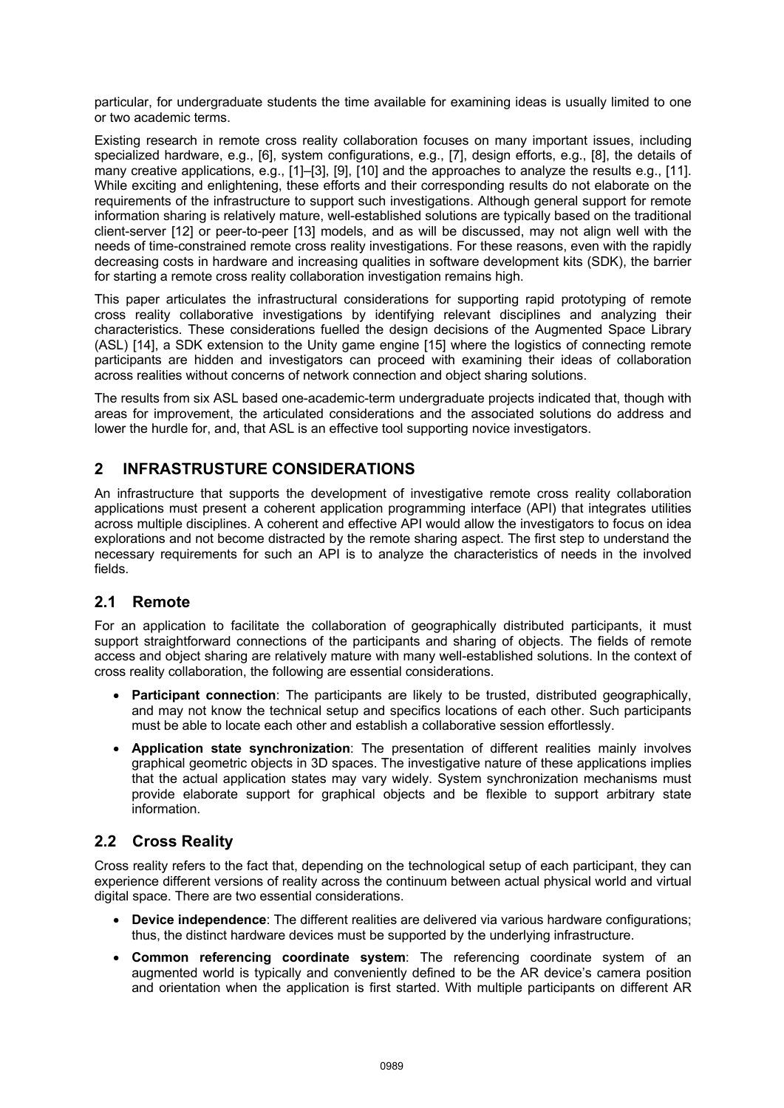particular, for undergraduate students the time available for examining ideas is usually limited to one or two academic terms.

Existing research in remote cross reality collaboration focuses on many important issues, including specialized hardware, e.g., [6], system configurations, e.g., [7], design efforts, e.g., [8], the details of many creative applications, e.g., [1]–[3], [9], [10] and the approaches to analyze the results e.g., [11]. While exciting and enlightening, these efforts and their corresponding results do not elaborate on the requirements of the infrastructure to support such investigations. Although general support for remote information sharing is relatively mature, well-established solutions are typically based on the traditional client-server [12] or peer-to-peer [13] models, and as will be discussed, may not align well with the needs of time-constrained remote cross reality investigations. For these reasons, even with the rapidly decreasing costs in hardware and increasing qualities in software development kits (SDK), the barrier for starting a remote cross reality collaboration investigation remains high.

This paper articulates the infrastructural considerations for supporting rapid prototyping of remote cross reality collaborative investigations by identifying relevant disciplines and analyzing their characteristics. These considerations fuelled the design decisions of the Augmented Space Library (ASL) [14], a SDK extension to the Unity game engine [15] where the logistics of connecting remote participants are hidden and investigators can proceed with examining their ideas of collaboration across realities without concerns of network connection and object sharing solutions.

The results from six ASL based one-academic-term undergraduate projects indicated that, though with areas for improvement, the articulated considerations and the associated solutions do address and lower the hurdle for, and, that ASL is an effective tool supporting novice investigators.

## **2 INFRASTRUSTURE CONSIDERATIONS**

An infrastructure that supports the development of investigative remote cross reality collaboration applications must present a coherent application programming interface (API) that integrates utilities across multiple disciplines. A coherent and effective API would allow the investigators to focus on idea explorations and not become distracted by the remote sharing aspect. The first step to understand the necessary requirements for such an API is to analyze the characteristics of needs in the involved fields.

## **2.1 Remote**

For an application to facilitate the collaboration of geographically distributed participants, it must support straightforward connections of the participants and sharing of objects. The fields of remote access and object sharing are relatively mature with many well-established solutions. In the context of cross reality collaboration, the following are essential considerations.

- **Participant connection**: The participants are likely to be trusted, distributed geographically, and may not know the technical setup and specifics locations of each other. Such participants must be able to locate each other and establish a collaborative session effortlessly.
- **Application state synchronization**: The presentation of different realities mainly involves graphical geometric objects in 3D spaces. The investigative nature of these applications implies that the actual application states may vary widely. System synchronization mechanisms must provide elaborate support for graphical objects and be flexible to support arbitrary state information.

## **2.2 Cross Reality**

Cross reality refers to the fact that, depending on the technological setup of each participant, they can experience different versions of reality across the continuum between actual physical world and virtual digital space. There are two essential considerations.

- **Device independence**: The different realities are delivered via various hardware configurations; thus, the distinct hardware devices must be supported by the underlying infrastructure.
- **Common referencing coordinate system**: The referencing coordinate system of an augmented world is typically and conveniently defined to be the AR device's camera position and orientation when the application is first started. With multiple participants on different AR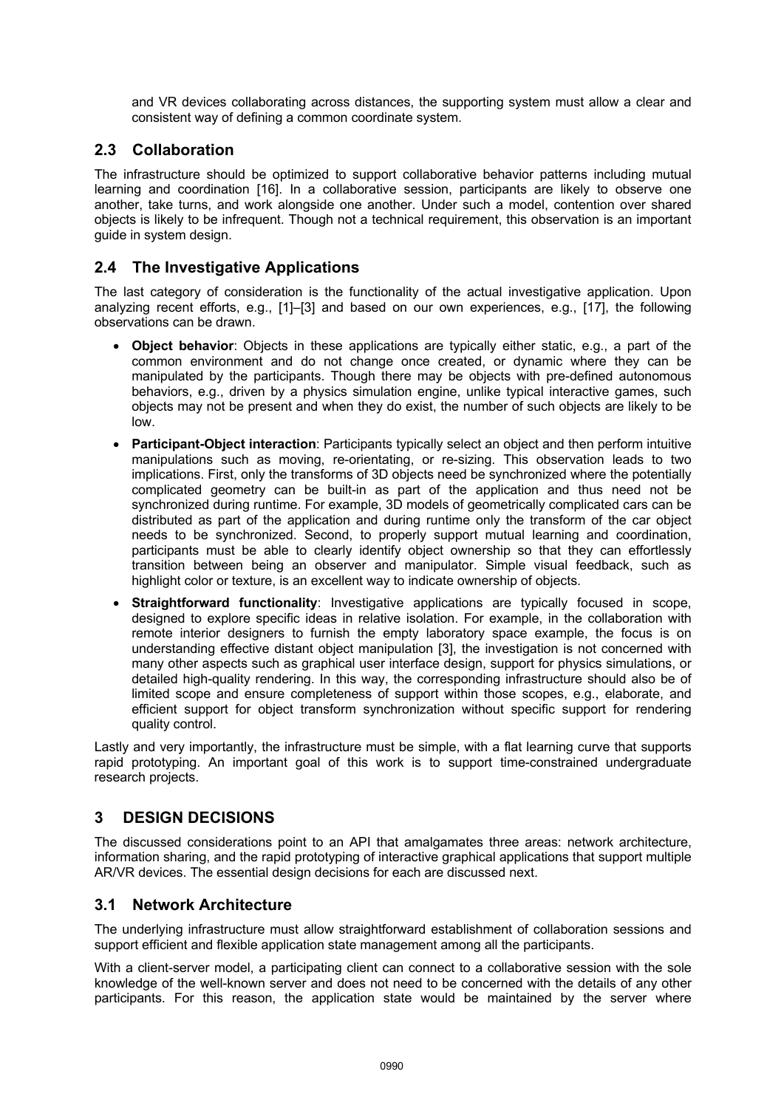and VR devices collaborating across distances, the supporting system must allow a clear and consistent way of defining a common coordinate system.

## **2.3 Collaboration**

The infrastructure should be optimized to support collaborative behavior patterns including mutual learning and coordination [16]. In a collaborative session, participants are likely to observe one another, take turns, and work alongside one another. Under such a model, contention over shared objects is likely to be infrequent. Though not a technical requirement, this observation is an important guide in system design.

## **2.4 The Investigative Applications**

The last category of consideration is the functionality of the actual investigative application. Upon analyzing recent efforts, e.g., [1]–[3] and based on our own experiences, e.g., [17], the following observations can be drawn.

- **Object behavior**: Objects in these applications are typically either static, e.g., a part of the common environment and do not change once created, or dynamic where they can be manipulated by the participants. Though there may be objects with pre-defined autonomous behaviors, e.g., driven by a physics simulation engine, unlike typical interactive games, such objects may not be present and when they do exist, the number of such objects are likely to be low.
- **Participant-Object interaction**: Participants typically select an object and then perform intuitive manipulations such as moving, re-orientating, or re-sizing. This observation leads to two implications. First, only the transforms of 3D objects need be synchronized where the potentially complicated geometry can be built-in as part of the application and thus need not be synchronized during runtime. For example, 3D models of geometrically complicated cars can be distributed as part of the application and during runtime only the transform of the car object needs to be synchronized. Second, to properly support mutual learning and coordination, participants must be able to clearly identify object ownership so that they can effortlessly transition between being an observer and manipulator. Simple visual feedback, such as highlight color or texture, is an excellent way to indicate ownership of objects.
- **Straightforward functionality**: Investigative applications are typically focused in scope, designed to explore specific ideas in relative isolation. For example, in the collaboration with remote interior designers to furnish the empty laboratory space example, the focus is on understanding effective distant object manipulation [3], the investigation is not concerned with many other aspects such as graphical user interface design, support for physics simulations, or detailed high-quality rendering. In this way, the corresponding infrastructure should also be of limited scope and ensure completeness of support within those scopes, e.g., elaborate, and efficient support for object transform synchronization without specific support for rendering quality control.

Lastly and very importantly, the infrastructure must be simple, with a flat learning curve that supports rapid prototyping. An important goal of this work is to support time-constrained undergraduate research projects.

## **3 DESIGN DECISIONS**

The discussed considerations point to an API that amalgamates three areas: network architecture, information sharing, and the rapid prototyping of interactive graphical applications that support multiple AR/VR devices. The essential design decisions for each are discussed next.

#### **3.1 Network Architecture**

The underlying infrastructure must allow straightforward establishment of collaboration sessions and support efficient and flexible application state management among all the participants.

With a client-server model, a participating client can connect to a collaborative session with the sole knowledge of the well-known server and does not need to be concerned with the details of any other participants. For this reason, the application state would be maintained by the server where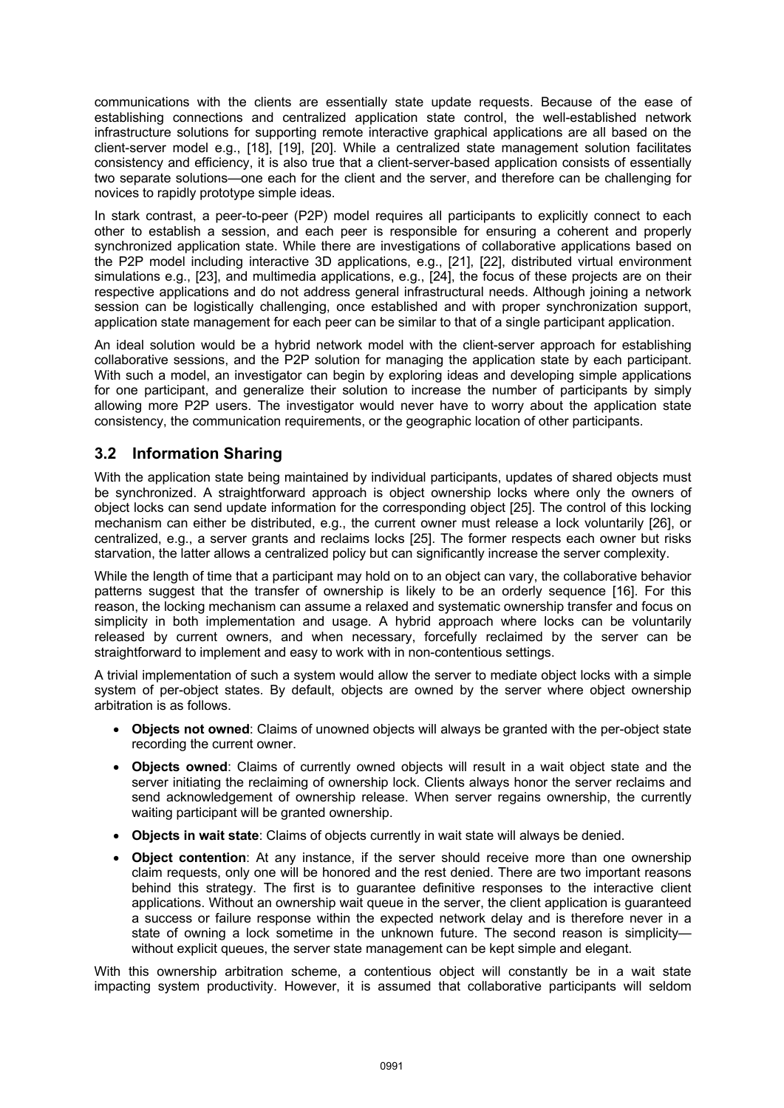communications with the clients are essentially state update requests. Because of the ease of establishing connections and centralized application state control, the well-established network infrastructure solutions for supporting remote interactive graphical applications are all based on the client-server model e.g., [18], [19], [20]. While a centralized state management solution facilitates consistency and efficiency, it is also true that a client-server-based application consists of essentially two separate solutions—one each for the client and the server, and therefore can be challenging for novices to rapidly prototype simple ideas.

In stark contrast, a peer-to-peer (P2P) model requires all participants to explicitly connect to each other to establish a session, and each peer is responsible for ensuring a coherent and properly synchronized application state. While there are investigations of collaborative applications based on the P2P model including interactive 3D applications, e.g., [21], [22], distributed virtual environment simulations e.g., [23], and multimedia applications, e.g., [24], the focus of these projects are on their respective applications and do not address general infrastructural needs. Although joining a network session can be logistically challenging, once established and with proper synchronization support, application state management for each peer can be similar to that of a single participant application.

An ideal solution would be a hybrid network model with the client-server approach for establishing collaborative sessions, and the P2P solution for managing the application state by each participant. With such a model, an investigator can begin by exploring ideas and developing simple applications for one participant, and generalize their solution to increase the number of participants by simply allowing more P2P users. The investigator would never have to worry about the application state consistency, the communication requirements, or the geographic location of other participants.

## **3.2 Information Sharing**

With the application state being maintained by individual participants, updates of shared objects must be synchronized. A straightforward approach is object ownership locks where only the owners of object locks can send update information for the corresponding object [25]. The control of this locking mechanism can either be distributed, e.g., the current owner must release a lock voluntarily [26], or centralized, e.g., a server grants and reclaims locks [25]. The former respects each owner but risks starvation, the latter allows a centralized policy but can significantly increase the server complexity.

While the length of time that a participant may hold on to an object can vary, the collaborative behavior patterns suggest that the transfer of ownership is likely to be an orderly sequence [16]. For this reason, the locking mechanism can assume a relaxed and systematic ownership transfer and focus on simplicity in both implementation and usage. A hybrid approach where locks can be voluntarily released by current owners, and when necessary, forcefully reclaimed by the server can be straightforward to implement and easy to work with in non-contentious settings.

A trivial implementation of such a system would allow the server to mediate object locks with a simple system of per-object states. By default, objects are owned by the server where object ownership arbitration is as follows.

- **Objects not owned**: Claims of unowned objects will always be granted with the per-object state recording the current owner.
- **Objects owned**: Claims of currently owned objects will result in a wait object state and the server initiating the reclaiming of ownership lock. Clients always honor the server reclaims and send acknowledgement of ownership release. When server regains ownership, the currently waiting participant will be granted ownership.
- **Objects in wait state**: Claims of objects currently in wait state will always be denied.
- **Object contention**: At any instance, if the server should receive more than one ownership claim requests, only one will be honored and the rest denied. There are two important reasons behind this strategy. The first is to guarantee definitive responses to the interactive client applications. Without an ownership wait queue in the server, the client application is guaranteed a success or failure response within the expected network delay and is therefore never in a state of owning a lock sometime in the unknown future. The second reason is simplicitywithout explicit queues, the server state management can be kept simple and elegant.

With this ownership arbitration scheme, a contentious object will constantly be in a wait state impacting system productivity. However, it is assumed that collaborative participants will seldom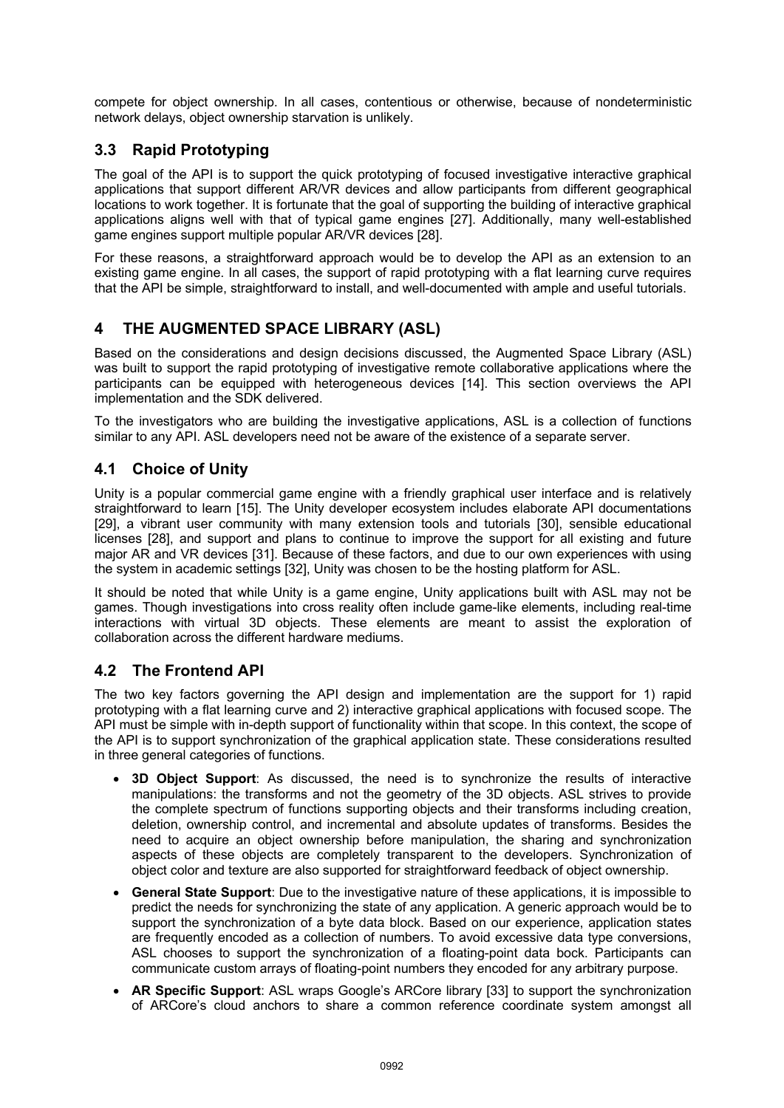compete for object ownership. In all cases, contentious or otherwise, because of nondeterministic network delays, object ownership starvation is unlikely.

## **3.3 Rapid Prototyping**

The goal of the API is to support the quick prototyping of focused investigative interactive graphical applications that support different AR/VR devices and allow participants from different geographical locations to work together. It is fortunate that the goal of supporting the building of interactive graphical applications aligns well with that of typical game engines [27]. Additionally, many well-established game engines support multiple popular AR/VR devices [28].

For these reasons, a straightforward approach would be to develop the API as an extension to an existing game engine. In all cases, the support of rapid prototyping with a flat learning curve requires that the API be simple, straightforward to install, and well-documented with ample and useful tutorials.

## **4 THE AUGMENTED SPACE LIBRARY (ASL)**

Based on the considerations and design decisions discussed, the Augmented Space Library (ASL) was built to support the rapid prototyping of investigative remote collaborative applications where the participants can be equipped with heterogeneous devices [14]. This section overviews the API implementation and the SDK delivered.

To the investigators who are building the investigative applications, ASL is a collection of functions similar to any API. ASL developers need not be aware of the existence of a separate server.

### **4.1 Choice of Unity**

Unity is a popular commercial game engine with a friendly graphical user interface and is relatively straightforward to learn [15]. The Unity developer ecosystem includes elaborate API documentations [29], a vibrant user community with many extension tools and tutorials [30], sensible educational licenses [28], and support and plans to continue to improve the support for all existing and future major AR and VR devices [31]. Because of these factors, and due to our own experiences with using the system in academic settings [32], Unity was chosen to be the hosting platform for ASL.

It should be noted that while Unity is a game engine, Unity applications built with ASL may not be games. Though investigations into cross reality often include game-like elements, including real-time interactions with virtual 3D objects. These elements are meant to assist the exploration of collaboration across the different hardware mediums.

## **4.2 The Frontend API**

The two key factors governing the API design and implementation are the support for 1) rapid prototyping with a flat learning curve and 2) interactive graphical applications with focused scope. The API must be simple with in-depth support of functionality within that scope. In this context, the scope of the API is to support synchronization of the graphical application state. These considerations resulted in three general categories of functions.

- **3D Object Support**: As discussed, the need is to synchronize the results of interactive manipulations: the transforms and not the geometry of the 3D objects. ASL strives to provide the complete spectrum of functions supporting objects and their transforms including creation, deletion, ownership control, and incremental and absolute updates of transforms. Besides the need to acquire an object ownership before manipulation, the sharing and synchronization aspects of these objects are completely transparent to the developers. Synchronization of object color and texture are also supported for straightforward feedback of object ownership.
- **General State Support**: Due to the investigative nature of these applications, it is impossible to predict the needs for synchronizing the state of any application. A generic approach would be to support the synchronization of a byte data block. Based on our experience, application states are frequently encoded as a collection of numbers. To avoid excessive data type conversions, ASL chooses to support the synchronization of a floating-point data bock. Participants can communicate custom arrays of floating-point numbers they encoded for any arbitrary purpose.
- **AR Specific Support**: ASL wraps Google's ARCore library [33] to support the synchronization of ARCore's cloud anchors to share a common reference coordinate system amongst all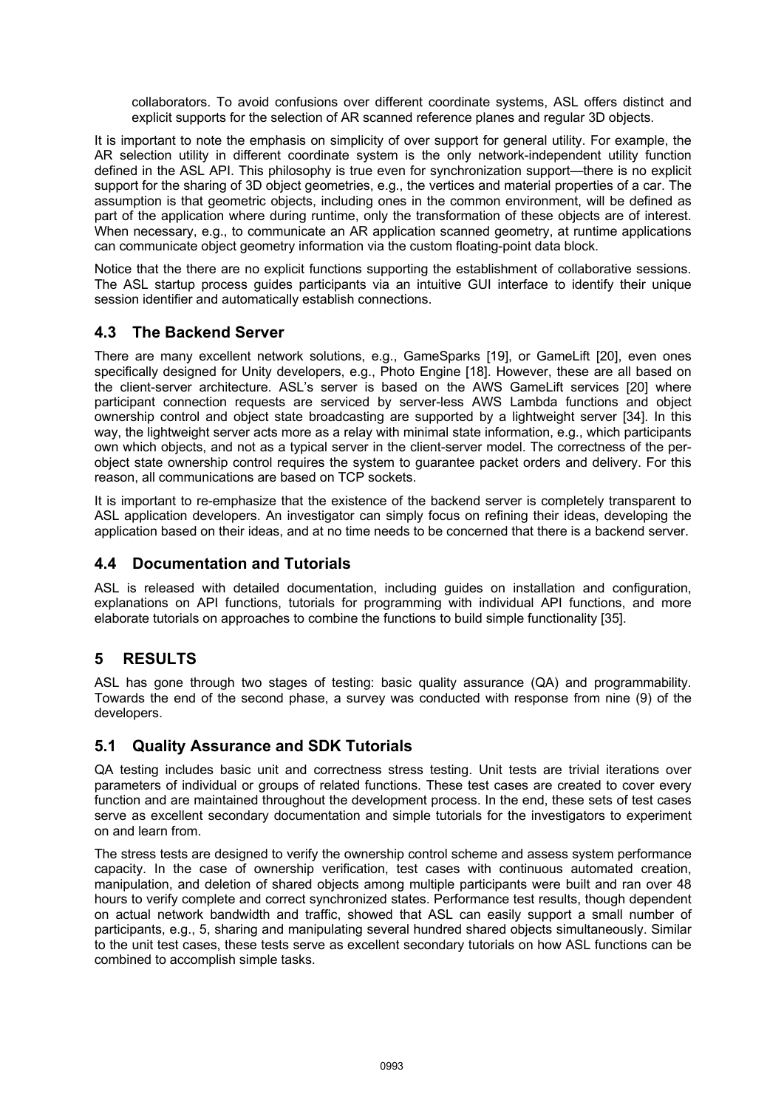collaborators. To avoid confusions over different coordinate systems, ASL offers distinct and explicit supports for the selection of AR scanned reference planes and regular 3D objects.

It is important to note the emphasis on simplicity of over support for general utility. For example, the AR selection utility in different coordinate system is the only network-independent utility function defined in the ASL API. This philosophy is true even for synchronization support—there is no explicit support for the sharing of 3D object geometries, e.g., the vertices and material properties of a car. The assumption is that geometric objects, including ones in the common environment, will be defined as part of the application where during runtime, only the transformation of these objects are of interest. When necessary, e.g., to communicate an AR application scanned geometry, at runtime applications can communicate object geometry information via the custom floating-point data block.

Notice that the there are no explicit functions supporting the establishment of collaborative sessions. The ASL startup process guides participants via an intuitive GUI interface to identify their unique session identifier and automatically establish connections.

## **4.3 The Backend Server**

There are many excellent network solutions, e.g., GameSparks [19], or GameLift [20], even ones specifically designed for Unity developers, e.g., Photo Engine [18]. However, these are all based on the client-server architecture. ASL's server is based on the AWS GameLift services [20] where participant connection requests are serviced by server-less AWS Lambda functions and object ownership control and object state broadcasting are supported by a lightweight server [34]. In this way, the lightweight server acts more as a relay with minimal state information, e.g., which participants own which objects, and not as a typical server in the client-server model. The correctness of the perobject state ownership control requires the system to guarantee packet orders and delivery. For this reason, all communications are based on TCP sockets.

It is important to re-emphasize that the existence of the backend server is completely transparent to ASL application developers. An investigator can simply focus on refining their ideas, developing the application based on their ideas, and at no time needs to be concerned that there is a backend server.

## **4.4 Documentation and Tutorials**

ASL is released with detailed documentation, including guides on installation and configuration, explanations on API functions, tutorials for programming with individual API functions, and more elaborate tutorials on approaches to combine the functions to build simple functionality [35].

## **5 RESULTS**

ASL has gone through two stages of testing: basic quality assurance (QA) and programmability. Towards the end of the second phase, a survey was conducted with response from nine (9) of the developers.

## **5.1 Quality Assurance and SDK Tutorials**

QA testing includes basic unit and correctness stress testing. Unit tests are trivial iterations over parameters of individual or groups of related functions. These test cases are created to cover every function and are maintained throughout the development process. In the end, these sets of test cases serve as excellent secondary documentation and simple tutorials for the investigators to experiment on and learn from.

The stress tests are designed to verify the ownership control scheme and assess system performance capacity. In the case of ownership verification, test cases with continuous automated creation, manipulation, and deletion of shared objects among multiple participants were built and ran over 48 hours to verify complete and correct synchronized states. Performance test results, though dependent on actual network bandwidth and traffic, showed that ASL can easily support a small number of participants, e.g., 5, sharing and manipulating several hundred shared objects simultaneously. Similar to the unit test cases, these tests serve as excellent secondary tutorials on how ASL functions can be combined to accomplish simple tasks.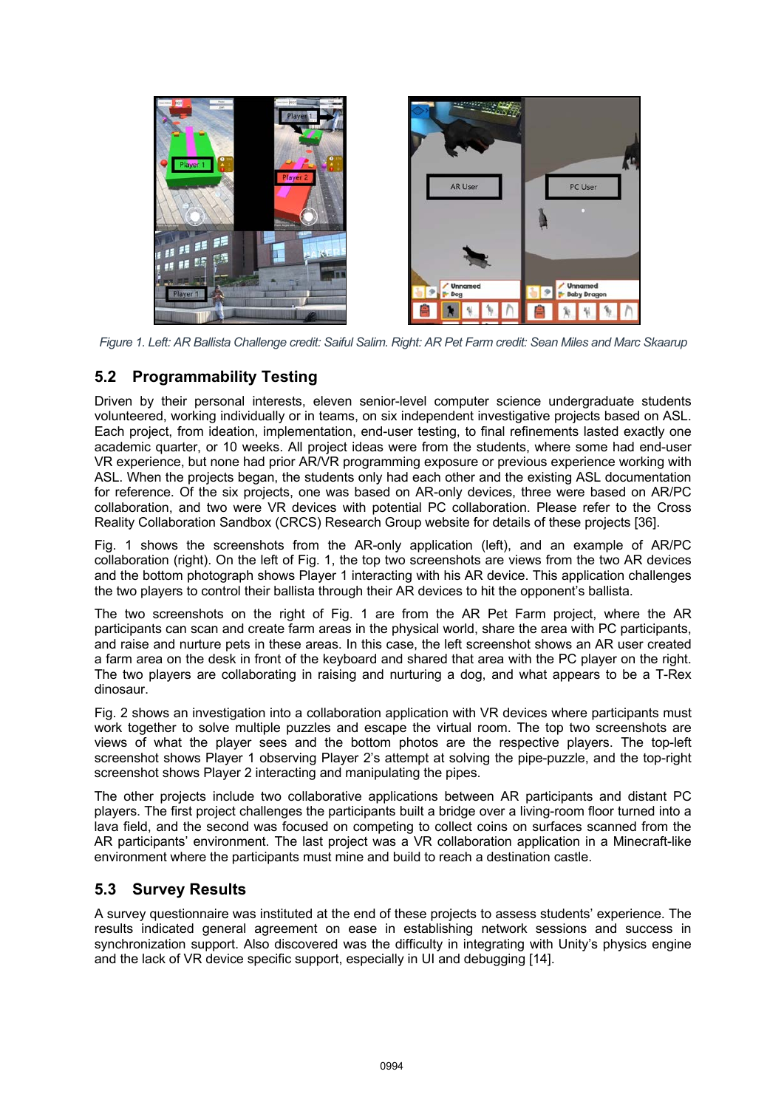

*Figure 1. Left: AR Ballista Challenge credit: Saiful Salim. Right: AR Pet Farm credit: Sean Miles and Marc Skaarup*

## **5.2 Programmability Testing**

Driven by their personal interests, eleven senior-level computer science undergraduate students volunteered, working individually or in teams, on six independent investigative projects based on ASL. Each project, from ideation, implementation, end-user testing, to final refinements lasted exactly one academic quarter, or 10 weeks. All project ideas were from the students, where some had end-user VR experience, but none had prior AR/VR programming exposure or previous experience working with ASL. When the projects began, the students only had each other and the existing ASL documentation for reference. Of the six projects, one was based on AR-only devices, three were based on AR/PC collaboration, and two were VR devices with potential PC collaboration. Please refer to the Cross Reality Collaboration Sandbox (CRCS) Research Group website for details of these projects [36].

Fig. 1 shows the screenshots from the AR-only application (left), and an example of AR/PC collaboration (right). On the left of Fig. 1, the top two screenshots are views from the two AR devices and the bottom photograph shows Player 1 interacting with his AR device. This application challenges the two players to control their ballista through their AR devices to hit the opponent's ballista.

The two screenshots on the right of Fig. 1 are from the AR Pet Farm project, where the AR participants can scan and create farm areas in the physical world, share the area with PC participants, and raise and nurture pets in these areas. In this case, the left screenshot shows an AR user created a farm area on the desk in front of the keyboard and shared that area with the PC player on the right. The two players are collaborating in raising and nurturing a dog, and what appears to be a T-Rex dinosaur.

Fig. 2 shows an investigation into a collaboration application with VR devices where participants must work together to solve multiple puzzles and escape the virtual room. The top two screenshots are views of what the player sees and the bottom photos are the respective players. The top-left screenshot shows Player 1 observing Player 2's attempt at solving the pipe-puzzle, and the top-right screenshot shows Player 2 interacting and manipulating the pipes.

The other projects include two collaborative applications between AR participants and distant PC players. The first project challenges the participants built a bridge over a living-room floor turned into a lava field, and the second was focused on competing to collect coins on surfaces scanned from the AR participants' environment. The last project was a VR collaboration application in a Minecraft-like environment where the participants must mine and build to reach a destination castle.

## **5.3 Survey Results**

A survey questionnaire was instituted at the end of these projects to assess students' experience. The results indicated general agreement on ease in establishing network sessions and success in synchronization support. Also discovered was the difficulty in integrating with Unity's physics engine and the lack of VR device specific support, especially in UI and debugging [14].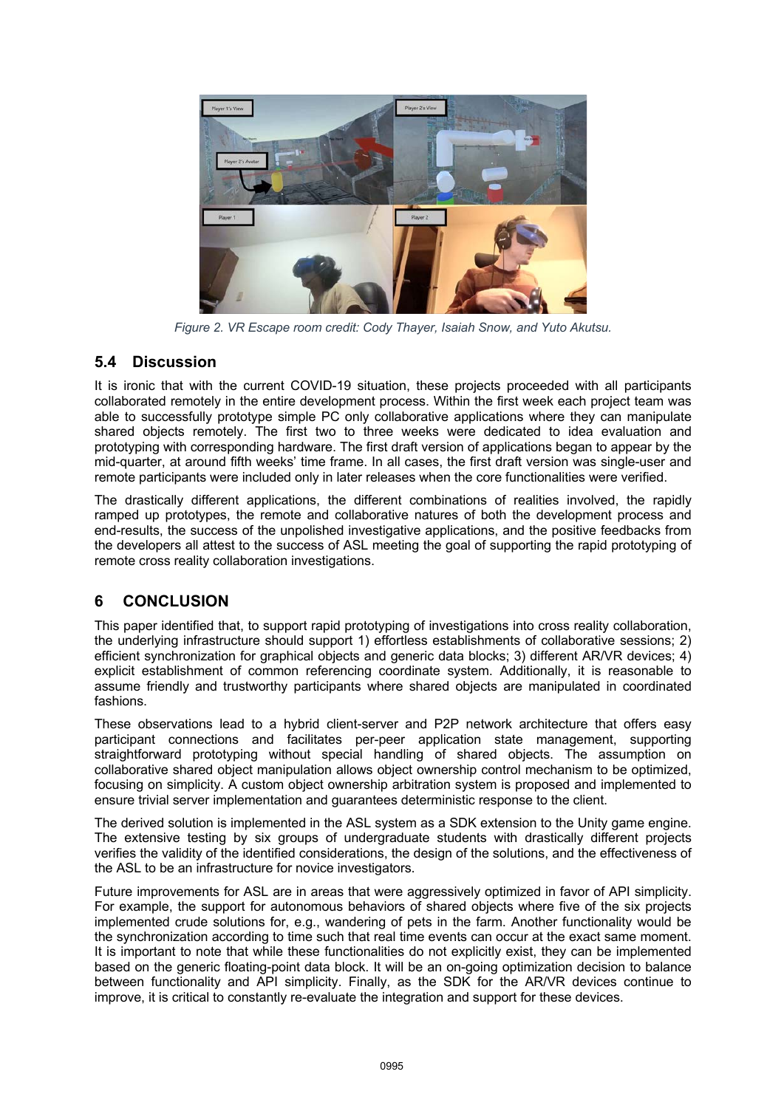

*Figure 2. VR Escape room credit: Cody Thayer, Isaiah Snow, and Yuto Akutsu.*

## **5.4 Discussion**

It is ironic that with the current COVID-19 situation, these projects proceeded with all participants collaborated remotely in the entire development process. Within the first week each project team was able to successfully prototype simple PC only collaborative applications where they can manipulate shared objects remotely. The first two to three weeks were dedicated to idea evaluation and prototyping with corresponding hardware. The first draft version of applications began to appear by the mid-quarter, at around fifth weeks' time frame. In all cases, the first draft version was single-user and remote participants were included only in later releases when the core functionalities were verified.

The drastically different applications, the different combinations of realities involved, the rapidly ramped up prototypes, the remote and collaborative natures of both the development process and end-results, the success of the unpolished investigative applications, and the positive feedbacks from the developers all attest to the success of ASL meeting the goal of supporting the rapid prototyping of remote cross reality collaboration investigations.

## **6 CONCLUSION**

This paper identified that, to support rapid prototyping of investigations into cross reality collaboration, the underlying infrastructure should support 1) effortless establishments of collaborative sessions; 2) efficient synchronization for graphical objects and generic data blocks; 3) different AR/VR devices; 4) explicit establishment of common referencing coordinate system. Additionally, it is reasonable to assume friendly and trustworthy participants where shared objects are manipulated in coordinated fashions.

These observations lead to a hybrid client-server and P2P network architecture that offers easy participant connections and facilitates per-peer application state management, supporting straightforward prototyping without special handling of shared objects. The assumption on collaborative shared object manipulation allows object ownership control mechanism to be optimized, focusing on simplicity. A custom object ownership arbitration system is proposed and implemented to ensure trivial server implementation and guarantees deterministic response to the client.

The derived solution is implemented in the ASL system as a SDK extension to the Unity game engine. The extensive testing by six groups of undergraduate students with drastically different projects verifies the validity of the identified considerations, the design of the solutions, and the effectiveness of the ASL to be an infrastructure for novice investigators.

Future improvements for ASL are in areas that were aggressively optimized in favor of API simplicity. For example, the support for autonomous behaviors of shared objects where five of the six projects implemented crude solutions for, e.g., wandering of pets in the farm. Another functionality would be the synchronization according to time such that real time events can occur at the exact same moment. It is important to note that while these functionalities do not explicitly exist, they can be implemented based on the generic floating-point data block. It will be an on-going optimization decision to balance between functionality and API simplicity. Finally, as the SDK for the AR/VR devices continue to improve, it is critical to constantly re-evaluate the integration and support for these devices.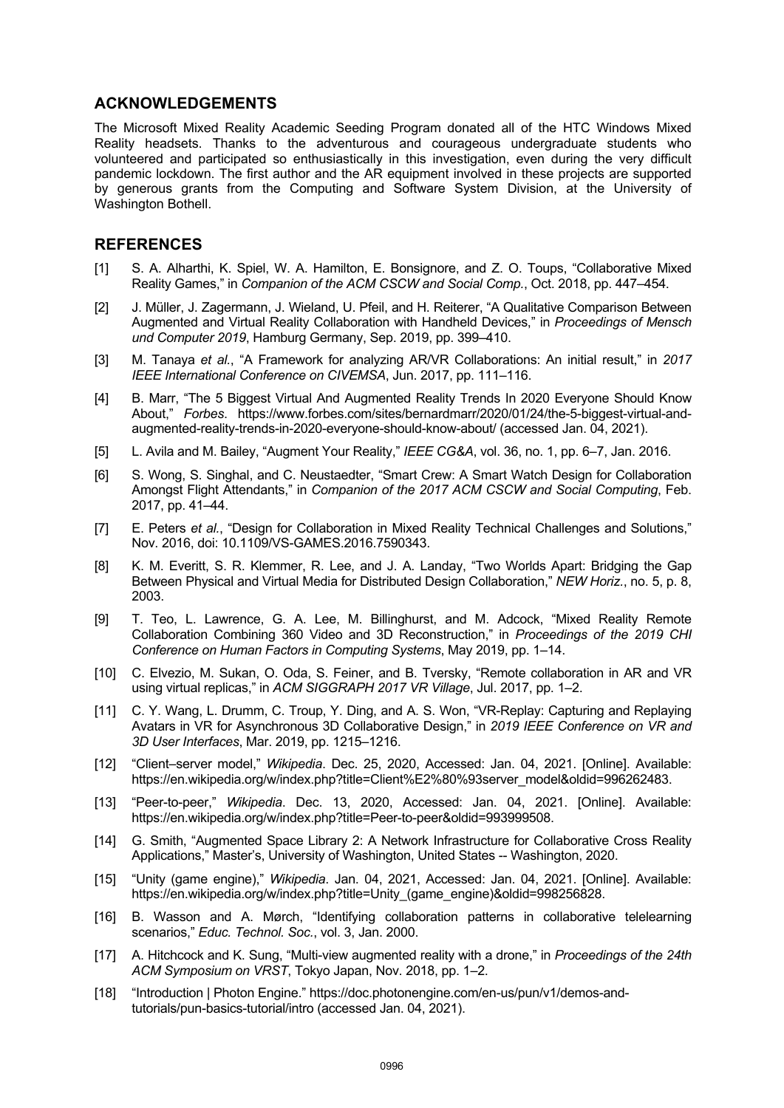#### **ACKNOWLEDGEMENTS**

The Microsoft Mixed Reality Academic Seeding Program donated all of the HTC Windows Mixed Reality headsets. Thanks to the adventurous and courageous undergraduate students who volunteered and participated so enthusiastically in this investigation, even during the very difficult pandemic lockdown. The first author and the AR equipment involved in these projects are supported by generous grants from the Computing and Software System Division, at the University of Washington Bothell.

#### **REFERENCES**

- [1] S. A. Alharthi, K. Spiel, W. A. Hamilton, E. Bonsignore, and Z. O. Toups, "Collaborative Mixed Reality Games," in *Companion of the ACM CSCW and Social Comp.*, Oct. 2018, pp. 447–454.
- [2] J. Müller, J. Zagermann, J. Wieland, U. Pfeil, and H. Reiterer, "A Qualitative Comparison Between Augmented and Virtual Reality Collaboration with Handheld Devices," in *Proceedings of Mensch und Computer 2019*, Hamburg Germany, Sep. 2019, pp. 399–410.
- [3] M. Tanaya *et al.*, "A Framework for analyzing AR/VR Collaborations: An initial result," in *2017 IEEE International Conference on CIVEMSA*, Jun. 2017, pp. 111–116.
- [4] B. Marr, "The 5 Biggest Virtual And Augmented Reality Trends In 2020 Everyone Should Know About," *Forbes*. https://www.forbes.com/sites/bernardmarr/2020/01/24/the-5-biggest-virtual-andaugmented-reality-trends-in-2020-everyone-should-know-about/ (accessed Jan. 04, 2021).
- [5] L. Avila and M. Bailey, "Augment Your Reality," *IEEE CG&A*, vol. 36, no. 1, pp. 6–7, Jan. 2016.
- [6] S. Wong, S. Singhal, and C. Neustaedter, "Smart Crew: A Smart Watch Design for Collaboration Amongst Flight Attendants," in *Companion of the 2017 ACM CSCW and Social Computing*, Feb. 2017, pp. 41–44.
- [7] E. Peters *et al.*, "Design for Collaboration in Mixed Reality Technical Challenges and Solutions," Nov. 2016, doi: 10.1109/VS-GAMES.2016.7590343.
- [8] K. M. Everitt, S. R. Klemmer, R. Lee, and J. A. Landay, "Two Worlds Apart: Bridging the Gap Between Physical and Virtual Media for Distributed Design Collaboration," *NEW Horiz.*, no. 5, p. 8, 2003.
- [9] T. Teo, L. Lawrence, G. A. Lee, M. Billinghurst, and M. Adcock, "Mixed Reality Remote Collaboration Combining 360 Video and 3D Reconstruction," in *Proceedings of the 2019 CHI Conference on Human Factors in Computing Systems*, May 2019, pp. 1–14.
- [10] C. Elvezio, M. Sukan, O. Oda, S. Feiner, and B. Tversky, "Remote collaboration in AR and VR using virtual replicas," in *ACM SIGGRAPH 2017 VR Village*, Jul. 2017, pp. 1–2.
- [11] C. Y. Wang, L. Drumm, C. Troup, Y. Ding, and A. S. Won, "VR-Replay: Capturing and Replaying Avatars in VR for Asynchronous 3D Collaborative Design," in *2019 IEEE Conference on VR and 3D User Interfaces*, Mar. 2019, pp. 1215–1216.
- [12] "Client–server model," *Wikipedia*. Dec. 25, 2020, Accessed: Jan. 04, 2021. [Online]. Available: https://en.wikipedia.org/w/index.php?title=Client%E2%80%93server\_model&oldid=996262483.
- [13] "Peer-to-peer," *Wikipedia*. Dec. 13, 2020, Accessed: Jan. 04, 2021. [Online]. Available: https://en.wikipedia.org/w/index.php?title=Peer-to-peer&oldid=993999508.
- [14] G. Smith, "Augmented Space Library 2: A Network Infrastructure for Collaborative Cross Reality Applications," Master's, University of Washington, United States -- Washington, 2020.
- [15] "Unity (game engine)," *Wikipedia*. Jan. 04, 2021, Accessed: Jan. 04, 2021. [Online]. Available: https://en.wikipedia.org/w/index.php?title=Unity (game\_engine)&oldid=998256828.
- [16] B. Wasson and A. Mørch, "Identifying collaboration patterns in collaborative telelearning scenarios," *Educ. Technol. Soc.*, vol. 3, Jan. 2000.
- [17] A. Hitchcock and K. Sung, "Multi-view augmented reality with a drone," in *Proceedings of the 24th ACM Symposium on VRST*, Tokyo Japan, Nov. 2018, pp. 1–2.
- [18] "Introduction | Photon Engine." https://doc.photonengine.com/en-us/pun/v1/demos-andtutorials/pun-basics-tutorial/intro (accessed Jan. 04, 2021).